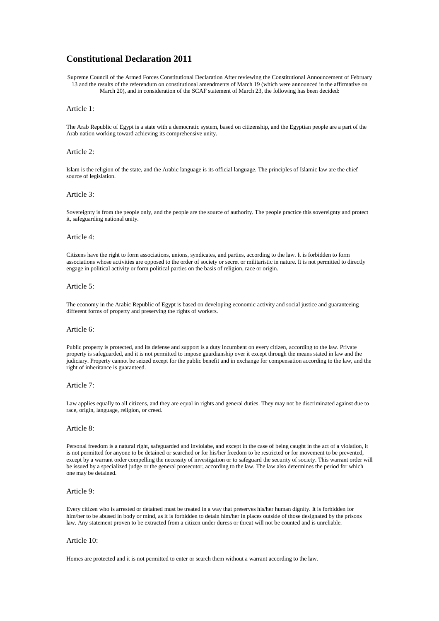# **Constitutional Declaration 2011**

Supreme Council of the Armed Forces Constitutional Declaration After reviewing the Constitutional Announcement of February 13 and the results of the referendum on constitutional amendments of March 19 (which were announced in the affirmative on March 20), and in consideration of the SCAF statement of March 23, the following has been decided:

# Article 1:

The Arab Republic of Egypt is a state with a democratic system, based on citizenship, and the Egyptian people are a part of the Arab nation working toward achieving its comprehensive unity.

# Article 2:

Islam is the religion of the state, and the Arabic language is its official language. The principles of Islamic law are the chief source of legislation.

### Article 3:

Sovereignty is from the people only, and the people are the source of authority. The people practice this sovereignty and protect it, safeguarding national unity.

# Article 4:

Citizens have the right to form associations, unions, syndicates, and parties, according to the law. It is forbidden to form associations whose activities are opposed to the order of society or secret or militaristic in nature. It is not permitted to directly engage in political activity or form political parties on the basis of religion, race or origin.

# Article 5:

The economy in the Arabic Republic of Egypt is based on developing economic activity and social justice and guaranteeing different forms of property and preserving the rights of workers.

### Article 6:

Public property is protected, and its defense and support is a duty incumbent on every citizen, according to the law. Private property is safeguarded, and it is not permitted to impose guardianship over it except through the means stated in law and the judiciary. Property cannot be seized except for the public benefit and in exchange for compensation according to the law, and the right of inheritance is guaranteed.

# Article 7:

Law applies equally to all citizens, and they are equal in rights and general duties. They may not be discriminated against due to race, origin, language, religion, or creed.

# Article 8:

Personal freedom is a natural right, safeguarded and inviolabe, and except in the case of being caught in the act of a violation, it is not permitted for anyone to be detained or searched or for his/her freedom to be restricted or for movement to be prevented, except by a warrant order compelling the necessity of investigation or to safeguard the security of society. This warrant order will be issued by a specialized judge or the general prosecutor, according to the law. The law also determines the period for which one may be detained.

# Article 9:

Every citizen who is arrested or detained must be treated in a way that preserves his/her human dignity. It is forbidden for him/her to be abused in body or mind, as it is forbidden to detain him/her in places outside of those designated by the prisons law. Any statement proven to be extracted from a citizen under duress or threat will not be counted and is unreliable.

# Article 10:

Homes are protected and it is not permitted to enter or search them without a warrant according to the law.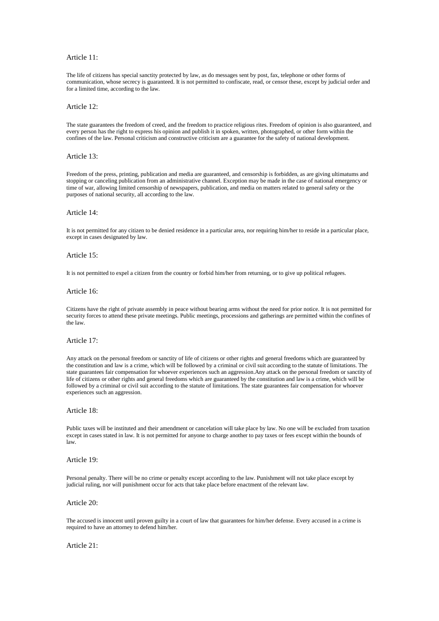# Article 11:

The life of citizens has special sanctity protected by law, as do messages sent by post, fax, telephone or other forms of communication, whose secrecy is guaranteed. It is not permitted to confiscate, read, or censor these, except by judicial order and for a limited time, according to the law.

### Article 12:

The state guarantees the freedom of creed, and the freedom to practice religious rites. Freedom of opinion is also guaranteed, and every person has the right to express his opinion and publish it in spoken, written, photographed, or other form within the confines of the law. Personal criticism and constructive criticism are a guarantee for the safety of national development.

# Article 13:

Freedom of the press, printing, publication and media are guaranteed, and censorship is forbidden, as are giving ultimatums and stopping or canceling publication from an administrative channel. Exception may be made in the case of national emergency or time of war, allowing limited censorship of newspapers, publication, and media on matters related to general safety or the purposes of national security, all according to the law.

### Article 14:

It is not permitted for any citizen to be denied residence in a particular area, nor requiring him/her to reside in a particular place, except in cases designated by law.

# Article 15:

It is not permitted to expel a citizen from the country or forbid him/her from returning, or to give up political refugees.

#### Article 16:

Citizens have the right of private assembly in peace without bearing arms without the need for prior notice. It is not permitted for security forces to attend these private meetings. Public meetings, processions and gatherings are permitted within the confines of the law.

#### Article 17:

Any attack on the personal freedom or sanctity of life of citizens or other rights and general freedoms which are guaranteed by the constitution and law is a crime, which will be followed by a criminal or civil suit according to the statute of limitations. The state guarantees fair compensation for whoever experiences such an aggression.Any attack on the personal freedom or sanctity of life of citizens or other rights and general freedoms which are guaranteed by the constitution and law is a crime, which will be followed by a criminal or civil suit according to the statute of limitations. The state guarantees fair compensation for whoever experiences such an aggression.

#### Article 18:

Public taxes will be instituted and their amendment or cancelation will take place by law. No one will be excluded from taxation except in cases stated in law. It is not permitted for anyone to charge another to pay taxes or fees except within the bounds of law.

# Article 19:

Personal penalty. There will be no crime or penalty except according to the law. Punishment will not take place except by judicial ruling, nor will punishment occur for acts that take place before enactment of the relevant law.

# Article 20:

The accused is innocent until proven guilty in a court of law that guarantees for him/her defense. Every accused in a crime is required to have an attorney to defend him/her.

Article 21: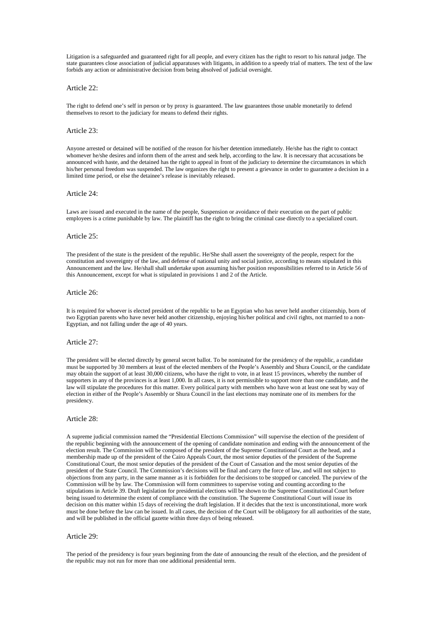Litigation is a safeguarded and guaranteed right for all people, and every citizen has the right to resort to his natural judge. The state guarantees close association of judicial apparatuses with litigants, in addition to a speedy trial of matters. The text of the law forbids any action or administrative decision from being absolved of judicial oversight.

#### Article 22:

The right to defend one's self in person or by proxy is guaranteed. The law guarantees those unable monetarily to defend themselves to resort to the judiciary for means to defend their rights.

#### Article 23:

Anyone arrested or detained will be notified of the reason for his/her detention immediately. He/she has the right to contact whomever he/she desires and inform them of the arrest and seek help, according to the law. It is necessary that accusations be announced with haste, and the detained has the right to appeal in front of the judiciary to determine the circumstances in which his/her personal freedom was suspended. The law organizes the right to present a grievance in order to guarantee a decision in a limited time period, or else the detainee's release is inevitably released.

#### Article 24:

Laws are issued and executed in the name of the people, Suspension or avoidance of their execution on the part of public employees is a crime punishable by law. The plaintiff has the right to bring the criminal case directly to a specialized court.

#### Article 25:

The president of the state is the president of the republic. He/She shall assert the sovereignty of the people, respect for the constitution and sovereignty of the law, and defense of national unity and social justice, according to means stipulated in this Announcement and the law. He/shall shall undertake upon assuming his/her position responsibilities referred to in Article 56 of this Announcement, except for what is stipulated in provisions 1 and 2 of the Article.

#### Article 26:

It is required for whoever is elected president of the republic to be an Egyptian who has never held another citizenship, born of two Egyptian parents who have never held another citizenship, enjoying his/her political and civil rights, not married to a non-Egyptian, and not falling under the age of 40 years.

# Article 27:

The president will be elected directly by general secret ballot. To be nominated for the presidency of the republic, a candidate must be supported by 30 members at least of the elected members of the People's Assembly and Shura Council, or the candidate may obtain the support of at least 30,000 citizens, who have the right to vote, in at least 15 provinces, whereby the number of supporters in any of the provinces is at least 1,000. In all cases, it is not permissible to support more than one candidate, and the law will stipulate the procedures for this matter. Every political party with members who have won at least one seat by way of election in either of the People's Assembly or Shura Council in the last elections may nominate one of its members for the presidency.

# Article 28:

A supreme judicial commission named the "Presidential Elections Commission" will supervise the election of the president of the republic beginning with the announcement of the opening of candidate nomination and ending with the announcement of the election result. The Commission will be composed of the president of the Supreme Constitutional Court as the head, and a membership made up of the president of the Cairo Appeals Court, the most senior deputies of the president of the Supreme Constitutional Court, the most senior deputies of the president of the Court of Cassation and the most senior deputies of the president of the State Council. The Commission's decisions will be final and carry the force of law, and will not subject to objections from any party, in the same manner as it is forbidden for the decisions to be stopped or canceled. The purview of the Commission will be by law. The Commission will form committees to supervise voting and counting according to the stipulations in Article 39. Draft legislation for presidential elections will be shown to the Supreme Constitutional Court before being issued to determine the extent of compliance with the constitution. The Supreme Constitutional Court will issue its decision on this matter within 15 days of receiving the draft legislation. If it decides that the text is unconstitutional, more work must be done before the law can be issued. In all cases, the decision of the Court will be obligatory for all authorities of the state, and will be published in the official gazette within three days of being released.

# Article 29:

The period of the presidency is four years beginning from the date of announcing the result of the election, and the president of the republic may not run for more than one additional presidential term.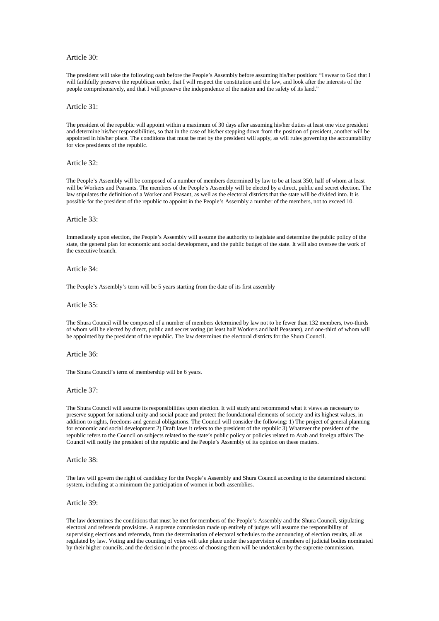# Article 30:

The president will take the following oath before the People's Assembly before assuming his/her position: "I swear to God that I will faithfully preserve the republican order, that I will respect the constitution and the law, and look after the interests of the people comprehensively, and that I will preserve the independence of the nation and the safety of its land."

### Article 31:

The president of the republic will appoint within a maximum of 30 days after assuming his/her duties at least one vice president and determine his/her responsibilities, so that in the case of his/her stepping down from the position of president, another will be appointed in his/her place. The conditions that must be met by the president will apply, as will rules governing the accountability for vice presidents of the republic.

#### Article 32:

The People's Assembly will be composed of a number of members determined by law to be at least 350, half of whom at least will be Workers and Peasants. The members of the People's Assembly will be elected by a direct, public and secret election. The law stipulates the definition of a Worker and Peasant, as well as the electoral districts that the state will be divided into. It is possible for the president of the republic to appoint in the People's Assembly a number of the members, not to exceed 10.

#### Article 33:

Immediately upon election, the People's Assembly will assume the authority to legislate and determine the public policy of the state, the general plan for economic and social development, and the public budget of the state. It will also oversee the work of the executive branch.

### Article 34:

The People's Assembly's term will be 5 years starting from the date of its first assembly

### Article 35:

The Shura Council will be composed of a number of members determined by law not to be fewer than 132 members, two-thirds of whom will be elected by direct, public and secret voting (at least half Workers and half Peasants), and one-third of whom will be appointed by the president of the republic. The law determines the electoral districts for the Shura Council.

# Article 36:

The Shura Council's term of membership will be 6 years.

### Article 37:

The Shura Council will assume its responsibilities upon election. It will study and recommend what it views as necessary to preserve support for national unity and social peace and protect the foundational elements of society and its highest values, in addition to rights, freedoms and general obligations. The Council will consider the following: 1) The project of general planning for economic and social development 2) Draft laws it refers to the president of the republic 3) Whatever the president of the republic refers to the Council on subjects related to the state's public policy or policies related to Arab and foreign affairs The Council will notify the president of the republic and the People's Assembly of its opinion on these matters.

### Article 38:

The law will govern the right of candidacy for the People's Assembly and Shura Council according to the determined electoral system, including at a minimum the participation of women in both assemblies.

#### Article 39:

The law determines the conditions that must be met for members of the People's Assembly and the Shura Council, stipulating electoral and referenda provisions. A supreme commission made up entirely of judges will assume the responsibility of supervising elections and referenda, from the determination of electoral schedules to the announcing of election results, all as regulated by law. Voting and the counting of votes will take place under the supervision of members of judicial bodies nominated by their higher councils, and the decision in the process of choosing them will be undertaken by the supreme commission.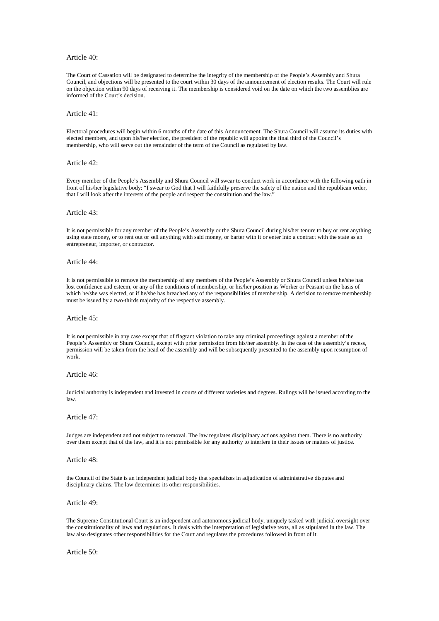### Article 40:

The Court of Cassation will be designated to determine the integrity of the membership of the People's Assembly and Shura Council, and objections will be presented to the court within 30 days of the announcement of election results. The Court will rule on the objection within 90 days of receiving it. The membership is considered void on the date on which the two assemblies are informed of the Court's decision.

### Article 41:

Electoral procedures will begin within 6 months of the date of this Announcement. The Shura Council will assume its duties with elected members, and upon his/her election, the president of the republic will appoint the final third of the Council's membership, who will serve out the remainder of the term of the Council as regulated by law.

#### Article 42:

Every member of the People's Assembly and Shura Council will swear to conduct work in accordance with the following oath in front of his/her legislative body: "I swear to God that I will faithfully preserve the safety of the nation and the republican order, that I will look after the interests of the people and respect the constitution and the law."

### Article 43:

It is not permissible for any member of the People's Assembly or the Shura Council during his/her tenure to buy or rent anything using state money, or to rent out or sell anything with said money, or barter with it or enter into a contract with the state as an entrepreneur, importer, or contractor.

### Article 44:

It is not permissible to remove the membership of any members of the People's Assembly or Shura Council unless he/she has lost confidence and esteem, or any of the conditions of membership, or his/her position as Worker or Peasant on the basis of which he/she was elected, or if he/she has breached any of the responsibilities of membership. A decision to remove membership must be issued by a two-thirds majority of the respective assembly.

### Article 45:

It is not permissible in any case except that of flagrant violation to take any criminal proceedings against a member of the People's Assembly or Shura Council, except with prior permission from his/her assembly. In the case of the assembly's recess, permission will be taken from the head of the assembly and will be subsequently presented to the assembly upon resumption of work.

# Article 46:

Judicial authority is independent and invested in courts of different varieties and degrees. Rulings will be issued according to the law.

# Article 47:

Judges are independent and not subject to removal. The law regulates disciplinary actions against them. There is no authority over them except that of the law, and it is not permissible for any authority to interfere in their issues or matters of justice.

#### Article 48:

the Council of the State is an independent judicial body that specializes in adjudication of administrative disputes and disciplinary claims. The law determines its other responsibilities.

#### Article 49:

The Supreme Constitutional Court is an independent and autonomous judicial body, uniquely tasked with judicial oversight over the constitutionality of laws and regulations. It deals with the interpretation of legislative texts, all as stipulated in the law. The law also designates other responsibilities for the Court and regulates the procedures followed in front of it.

### Article 50: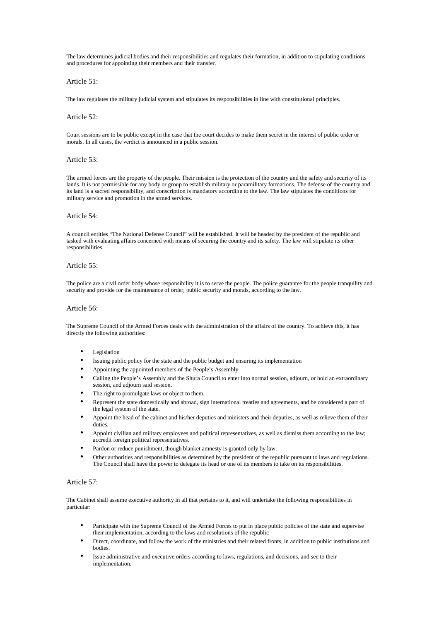The law determines judicial bodies and their responsibilities and regulates their formation, in addition to stipulating conditions and procedures for appointing their members and their transfer.

### Article 51:

The law regulates the military judicial system and stipulates its responsibilities in line with constitutional principles.

# Article 52:

Court sessions are to be public except in the case that the court decides to make them secret in the interest of public order or morals. In all cases, the verdict is announced in a public session.

### Article 53:

The armed forces are the property of the people. Their mission is the protection of the country and the safety and security of its lands. It is not permissible for any body or group to establish military or paramilitary formations. The defense of the country and its land is a sacred responsibility, and conscription is mandatory according to the law. The law stipulates the conditions for military service and promotion in the armed services.

# Article 54:

A council entitles "The National Defense Council" will be established. It will be headed by the president of the republic and tasked with evaluating affairs concerned with means of securing the country and its safety. The law will stipulate its other responsibilities.

# Article 55:

The police are a civil order body whose responsibility it is to serve the people. The police guarantee for the people tranquility and security and provide for the maintenance of order, public security and morals, according to the law.

#### Article 56:

The Supreme Council of the Armed Forces deals with the administration of the affairs of the country. To achieve this, it has directly the following authorities:

- **Legislation**
- Issuing public policy for the state and the public budget and ensuring its implementation
- Appointing the appointed members of the People's Assembly
- Calling the People's Assembly and the Shura Council to enter into normal session, adjourn, or hold an extraordinary session, and adjourn said session.
- The right to promulgate laws or object to them.
- Represent the state domestically and abroad, sign international treaties and agreements, and be considered a part of the legal system of the state.
- Appoint the head of the cabinet and his/her deputies and ministers and their deputies, as well as relieve them of their duties.
- Appoint civilian and military employees and political representatives, as well as dismiss them according to the law; accredit foreign political representatives.
- Pardon or reduce punishment, though blanket amnesty is granted only by law.
- Other authorities and responsibilities as determined by the president of the republic pursuant to laws and regulations. The Council shall have the power to delegate its head or one of its members to take on its responsibilities.

# Article 57:

The Cabinet shall assume executive authority in all that pertains to it, and will undertake the following responsibilities in particular:

- Participate with the Supreme Council of the Armed Forces to put in place public policies of the state and supervise their implementation, according to the laws and resolutions of the republic
- Direct, coordinate, and follow the work of the ministries and their related fronts, in addition to public institutions and bodies.
- Issue administrative and executive orders according to laws, regulations, and decisions, and see to their implementation.